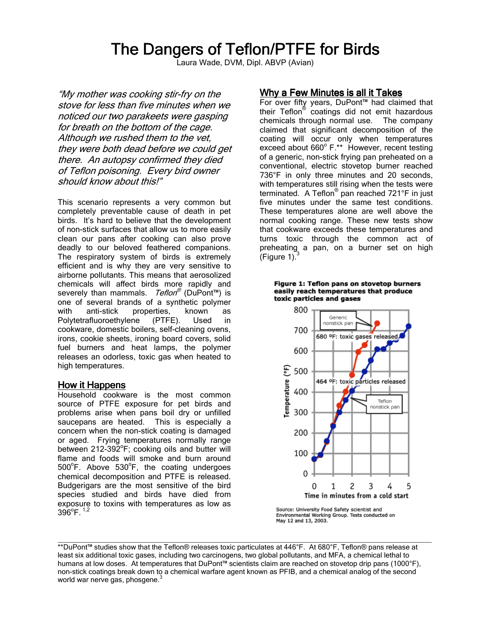# The Dangers of Teflon/PTFE for Birds

Laura Wade, DVM, Dipl. ABVP (Avian)

"My mother was cooking stir-fry on the stove for less than five minutes when we noticed our two parakeets were gasping for breath on the bottom of the cage. Although we rushed them to the vet, they were both dead before we could get there. An autopsy confirmed they died of Teflon poisoning. Every bird owner should know about this!"

This scenario represents a very common but completely preventable cause of death in pet birds. It's hard to believe that the development of non-stick surfaces that allow us to more easily clean our pans after cooking can also prove deadly to our beloved feathered companions. The respiratory system of birds is extremely efficient and is why they are very sensitive to airborne pollutants. This means that aerosolized chemicals will affect birds more rapidly and severely than mammals. *Teflon®* (DuPont™) is one of several brands of a synthetic polymer with anti-stick properties, known as Polytetrafluoroethylene (PTFE). Used in cookware, domestic boilers, self-cleaning ovens, irons, cookie sheets, ironing board covers, solid fuel burners and heat lamps, the polymer releases an odorless, toxic gas when heated to high temperatures.

#### How it Happens

Household cookware is the most common source of PTFE exposure for pet birds and problems arise when pans boil dry or unfilled saucepans are heated. This is especially a concern when the non-stick coating is damaged or aged. Frying temperatures normally range between 212-392°F; cooking oils and butter will flame and foods will smoke and burn around  $500^{\circ}$ F. Above  $530^{\circ}$ F, the coating undergoes chemical decomposition and PTFE is released. Budgerigars are the most sensitive of the bird species studied and birds have died from exposure to toxins with temperatures as low as  $396^{\circ}$ F.  $^{1,2}$ 

## Why a Few Minutes is all it Takes

For over fifty years, DuPont™ had claimed that their Teflon® coatings did not emit hazardous chemicals through normal use. The company claimed that significant decomposition of the coating will occur only when temperatures exceed about 660° F.\*\* However, recent testing of a generic, non-stick frying pan preheated on a conventional, electric stovetop burner reached 736°F in only three minutes and 20 seconds, with temperatures still rising when the tests were terminated. A Teflon<sup>®</sup> pan reached 721°F in just five minutes under the same test conditions. These temperatures alone are well above the normal cooking range. These new tests show that cookware exceeds these temperatures and turns toxic through the common act of preheating a pan, on a burner set on high (Figure 1).





Source: University Food Safety scientist and<br>Environmental Working Group. Tests conducted on May 12 and 13, 2003.

 $\Box$ 

<sup>\*\*</sup>DuPont™ studies show that the Teflon® releases toxic particulates at 446°F. At 680°F, Teflon® pans release at least six additional toxic gases, including two carcinogens, two global pollutants, and MFA, a chemical lethal to humans at low doses. At temperatures that DuPont™ scientists claim are reached on stovetop drip pans (1000°F), non-stick coatings break down to a chemical warfare agent known as PFIB, and a chemical analog of the second world war nerve gas, phosgene.